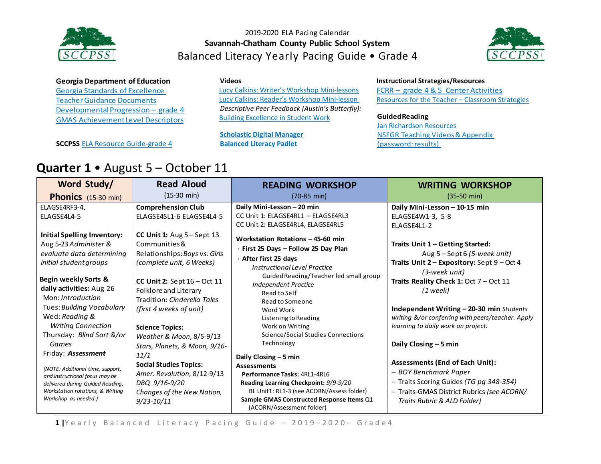



**Georgia Department of Education** Georgia Standards of [Excellence](https://drive.google.com/file/d/0B9TBXLcHMe3WNmhEaVZjeTctOWM/view) Teacher Guidance Documents Developmental Progression – grade 4 GMAS [AchievementLevel](https://www.gadoe.org/Curriculum-Instruction-and-Assessment/Assessment/Documents/Milestones/ALD/ALDS_for_Grade_4_Milestones_EOG_ELA.pdf) Descriptors

**SCCPSS** ELA [Resource](https://drive.google.com/file/d/0B3Uu6Ml6RRkDQXR5eWJlU1pwQmM/view) Guide-grade 4

**Videos**

[Lucy Calkins: Writer's Workshop Mini-lessons](https://www.youtube.com/watch?v=zPRM2ZXyrS0&list=PLb5RXypPqP5sNAYNUDEfwaq2QYPauhCcc) [Lucy Calkins: Reader's Workshop Mini-lesson](https://www.youtube.com/watch?v=AwCNOjuhVDY&list=PL11B81A18DF41BEC6) *Descriptive Peer Feedback (Austin's Butterfly):* [Building Excellence in Student Work](https://vimeo.com/38247060)

**[Scholastic Digital Manager](https://digital.scholastic.com/#/signin) [Balanced Literacy Padlet](https://padlet.com/janet_junco/p9tlqzh52l56)**

#### **Instructional Strategies/Resources**

FCRR – grade 4 & 5 Center [Activities](http://www.fcrr.org/resources/resources_sca_4-5.html) [Resources f](http://www.fcrr.org/resources/resources_sca_k-1.html)or the Teacher – [Classroom Strategies](http://www.fortheteachers.org/instructional_strategies/)

#### **GuidedReading**

[Jan Richardson Resources](http://www.janrichardsonguidedreading.com/resources-1) NSFG[R Teaching](http://www.scholastic.com/NSFresources/) Videos& Appendix (password: results)

|  |  | <b>Quarter 1 •</b> August 5 – October 11 |  |  |
|--|--|------------------------------------------|--|--|
|--|--|------------------------------------------|--|--|

| Word Study/                                                                                                                                                        | <b>Read Aloud</b>                                                                                                                          | <b>READING WORKSHOP</b>                                                                                                                                                                                            | <b>WRITING WORKSHOP</b>                                                                                                                                                                 |
|--------------------------------------------------------------------------------------------------------------------------------------------------------------------|--------------------------------------------------------------------------------------------------------------------------------------------|--------------------------------------------------------------------------------------------------------------------------------------------------------------------------------------------------------------------|-----------------------------------------------------------------------------------------------------------------------------------------------------------------------------------------|
| <b>Phonics</b> (15-30 min)                                                                                                                                         | $(15-30 \text{ min})$                                                                                                                      | $(70-85 \text{ min})$                                                                                                                                                                                              | $(35-50 \text{ min})$                                                                                                                                                                   |
| ELAGSE4RF3-4.<br>ELAGSE4L4-5                                                                                                                                       | <b>Comprehension Club</b><br>ELAGSE4SL1-6 ELAGSE4L4-5                                                                                      | Daily Mini-Lesson - 20 min<br>CC Unit 1: ELAGSE4RL1 - ELAGSE4RL3<br>CC Unit 2: ELAGSE4RL4, ELAGSE4RL5                                                                                                              | Daily Mini-Lesson - 10-15 min<br>ELAGSE4W1-3. 5-8<br>ELAGSE4L1-2                                                                                                                        |
| <b>Initial Spelling Inventory:</b><br>Aug 5-23 Administer &<br>evaluate data determining<br>initial student groups<br>Begin weekly Sorts &                         | CC Unit 1: $Aug 5 - Sept 13$<br>Communities&<br>Relationships: Boys vs. Girls<br>(complete unit, 6 Weeks)<br>CC Unit 2: Sept $16 - Oct$ 11 | Workstation Rotations - 45-60 min<br>First 25 Days - Follow 25 Day Plan<br>⋅ After first 25 days<br>Instructional Level Practice<br>Guided Reading/Teacher led small group                                         | Traits Unit 1 - Getting Started:<br>Aug 5 – Sept 6 (5-week unit)<br>Traits Unit 2 - Expository: Sept 9 - Oct 4<br>(3-week unit)<br>Traits Reality Check 1: Oct 7 - Oct 11               |
| daily activities: Aug 26<br>Mon: Introduction<br>Tues: Building Vocabulary<br>Wed: Reading &                                                                       | Folklore and Literary<br>Tradition: Cinderella Tales<br>(first 4 weeks of unit)                                                            | Independent Practice<br>Read to Self<br>Read to Someone<br>Word Work<br>Listening to Reading                                                                                                                       | (1 week)<br>Independent Writing - 20-30 min Students<br>writing &/or conferring with peers/teacher. Apply                                                                               |
| <b>Writing Connection</b><br>Thursday: Blind Sort &/or<br>Games<br>Friday: <b>Assessment</b>                                                                       | <b>Science Topics:</b><br>Weather & Moon, 8/5-9/13<br>Stars, Planets, & Moon, 9/16-<br>11/1                                                | Work on Writing<br>Science/Social Studies Connections<br>Technology<br>Daily Closing $-5$ min                                                                                                                      | learning to daily work on project.<br>Daily Closing - 5 min                                                                                                                             |
| (NOTE: Additional time, support,<br>and instructional focus may be<br>delivered during Guided Reading,<br>Workstation rotations, & Writing<br>Workshop as needed.) | <b>Social Studies Topics:</b><br>Amer. Revolution, 8/12-9/13<br>DBQ 9/16-9/20<br>Changes of the New Nation,<br>9/23-10/11                  | <b>Assessments</b><br>Performance Tasks: 4RL1-4RL6<br>Reading Learning Checkpoint: 9/9-9/20<br>BL Unit1: RL1-3 (see ACORN/Assess folder)<br>Sample GMAS Constructed Response Items Q1<br>(ACORN/Assessment folder) | <b>Assessments (End of Each Unit):</b><br>– BOY Benchmark Paper<br>- Traits Scoring Guides (TG pg 348-354)<br>- Traits-GMAS District Rubrics (see ACORN/<br>Traits Rubric & ALD Folder) |

1 |Yearly Balanced Literacy Pacing Guide - 2019-2020- Grade4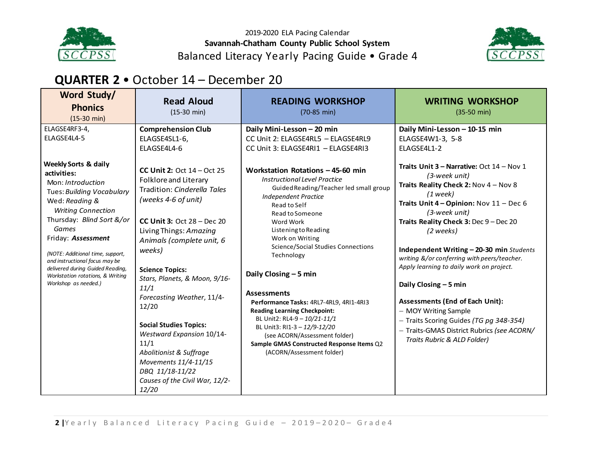



### **QUARTER 2** • October 14 – December 20

| Word Study/<br><b>Phonics</b><br>$(15-30 \text{ min})$                                                                                                                                                                                                                                                                                         | <b>Read Aloud</b><br>$(15-30 \text{ min})$                                                                                                                                                                                                                                                                                                                                                                                                                                                                                | <b>READING WORKSHOP</b><br>$(70-85 \text{ min})$                                                                                                                                                                                                                                                                                                                                                                                                                                                                                                                                                              | <b>WRITING WORKSHOP</b><br>$(35-50 \text{ min})$                                                                                                                                                                                                                                                                                                                                                                                                                                                                                                                                                        |
|------------------------------------------------------------------------------------------------------------------------------------------------------------------------------------------------------------------------------------------------------------------------------------------------------------------------------------------------|---------------------------------------------------------------------------------------------------------------------------------------------------------------------------------------------------------------------------------------------------------------------------------------------------------------------------------------------------------------------------------------------------------------------------------------------------------------------------------------------------------------------------|---------------------------------------------------------------------------------------------------------------------------------------------------------------------------------------------------------------------------------------------------------------------------------------------------------------------------------------------------------------------------------------------------------------------------------------------------------------------------------------------------------------------------------------------------------------------------------------------------------------|---------------------------------------------------------------------------------------------------------------------------------------------------------------------------------------------------------------------------------------------------------------------------------------------------------------------------------------------------------------------------------------------------------------------------------------------------------------------------------------------------------------------------------------------------------------------------------------------------------|
| ELAGSE4RF3-4,<br>ELAGSE4L4-5<br><b>Weekly Sorts &amp; daily</b>                                                                                                                                                                                                                                                                                | <b>Comprehension Club</b><br>ELAGSE4SL1-6,<br>ELAGSE4L4-6                                                                                                                                                                                                                                                                                                                                                                                                                                                                 | Daily Mini-Lesson - 20 min<br>CC Unit 2: ELAGSE4RL5 - ELAGSE4RL9<br>CC Unit 3: ELAGSE4RI1 - ELAGSE4RI3                                                                                                                                                                                                                                                                                                                                                                                                                                                                                                        | Daily Mini-Lesson - 10-15 min<br>ELAGSE4W1-3, 5-8<br>ELAGSE4L1-2                                                                                                                                                                                                                                                                                                                                                                                                                                                                                                                                        |
| activities:<br>Mon: Introduction<br>Tues: Building Vocabulary<br>Wed: Reading &<br><b>Writing Connection</b><br>Thursday: Blind Sort &/or<br>Games<br>Friday: Assessment<br>(NOTE: Additional time, support,<br>and instructional focus may be<br>delivered during Guided Reading,<br>Workstation rotations, & Writing<br>Workshop as needed.) | <b>CC Unit 2: Oct 14 - Oct 25</b><br>Folklore and Literary<br>Tradition: Cinderella Tales<br>(weeks 4-6 of unit)<br>CC Unit 3: Oct $28 - Dec 20$<br>Living Things: Amazing<br>Animals (complete unit, 6<br>weeks)<br><b>Science Topics:</b><br>Stars, Planets, & Moon, 9/16-<br>11/1<br>Forecasting Weather, 11/4-<br>12/20<br><b>Social Studies Topics:</b><br><b>Westward Expansion 10/14-</b><br>11/1<br>Abolitionist & Suffrage<br>Movements 11/4-11/15<br>DBQ 11/18-11/22<br>Causes of the Civil War, 12/2-<br>12/20 | Workstation Rotations - 45-60 min<br>Instructional Level Practice<br>Guided Reading/Teacher led small group<br><b>Independent Practice</b><br>Read to Self<br>Read to Someone<br>Word Work<br>Listening to Reading<br>Work on Writing<br><b>Science/Social Studies Connections</b><br>Technology<br>Daily Closing $-5$ min<br><b>Assessments</b><br>Performance Tasks: 4RL7-4RL9, 4RI1-4RI3<br><b>Reading Learning Checkpoint:</b><br>BL Unit2: RL4-9 - 10/21-11/1<br>BL Unit3: RI1-3 - 12/9-12/20<br>(see ACORN/Assessment folder)<br>Sample GMAS Constructed Response Items Q2<br>(ACORN/Assessment folder) | Traits Unit $3$ – Narrative: Oct $14$ – Nov 1<br>(3-week unit)<br>Traits Reality Check 2: Nov 4 - Nov 8<br>$(1$ week)<br>Traits Unit $4$ – Opinion: Nov $11$ – Dec 6<br>(3-week unit)<br>Traits Reality Check 3: Dec 9 - Dec 20<br>(2 weeks)<br>Independent Writing - 20-30 min Students<br>writing &/or conferring with peers/teacher.<br>Apply learning to daily work on project.<br>Daily Closing $-5$ min<br><b>Assessments (End of Each Unit):</b><br>- MOY Writing Sample<br>- Traits Scoring Guides (TG pg 348-354)<br>- Traits-GMAS District Rubrics (see ACORN/<br>Traits Rubric & ALD Folder) |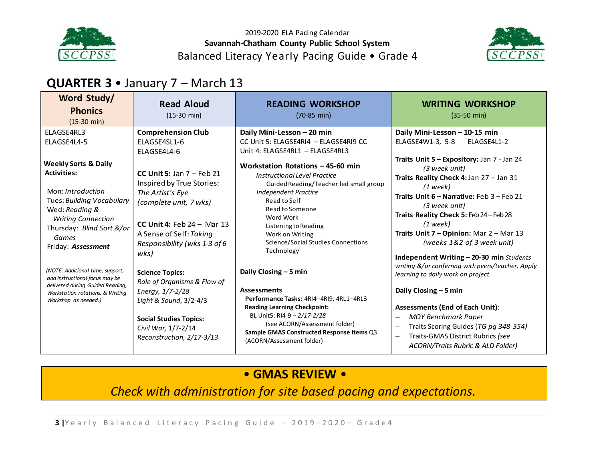



# **QUARTER 3** • January 7 – March 13

| Word Study/<br><b>Phonics</b><br>$(15-30 \text{ min})$                                                                                                                                                             | <b>Read Aloud</b><br>$(15-30 \text{ min})$                                                                                                                                                                | <b>READING WORKSHOP</b><br>$(70-85 \text{ min})$                                                                                                                                                                                                                                                 | <b>WRITING WORKSHOP</b><br>$(35-50 \text{ min})$                                                                                                                                                                                                                                                                                                                                                                 |
|--------------------------------------------------------------------------------------------------------------------------------------------------------------------------------------------------------------------|-----------------------------------------------------------------------------------------------------------------------------------------------------------------------------------------------------------|--------------------------------------------------------------------------------------------------------------------------------------------------------------------------------------------------------------------------------------------------------------------------------------------------|------------------------------------------------------------------------------------------------------------------------------------------------------------------------------------------------------------------------------------------------------------------------------------------------------------------------------------------------------------------------------------------------------------------|
| ELAGSE4RL3<br>ELAGSE4L4-5                                                                                                                                                                                          | <b>Comprehension Club</b><br><b>FLAGSF4SL1-6</b><br>ELAGSE4L4-6                                                                                                                                           | Daily Mini-Lesson - 20 min<br>CC Unit 5: ELAGSE4RI4 - ELAGSE4RI9 CC<br>Unit 4: ELAGSE4RL1 - ELAGSE4RL3                                                                                                                                                                                           | Daily Mini-Lesson - 10-15 min<br>ELAGSE4W1-3. 5-8<br>ELAGSE4L1-2                                                                                                                                                                                                                                                                                                                                                 |
| <b>Weekly Sorts &amp; Daily</b><br><b>Activities:</b><br>Mon: Introduction<br>Tues: Building Vocabulary<br>Wed: Reading &<br><b>Writing Connection</b><br>Thursday: Blind Sort &/or<br>Games<br>Friday: Assessment | CC Unit 5: Jan $7$ – Feb 21<br>Inspired by True Stories:<br>The Artist's Eye<br>(complete unit, 7 wks)<br>CC Unit 4: Feb $24 -$ Mar 13<br>A Sense of Self: Taking<br>Responsibility (wks 1-3 of 6<br>wks) | Workstation Rotations - 45-60 min<br>Instructional Level Practice<br>Guided Reading/Teacher led small group<br><b>Independent Practice</b><br>Read to Self<br>Read to Someone<br>Word Work<br>Listening to Reading<br>Work on Writing<br><b>Science/Social Studies Connections</b><br>Technology | Traits Unit 5 - Expository: Jan 7 - Jan 24<br>(3 week unit)<br>Traits Reality Check 4: Jan 27 - Jan 31<br>$(1$ week)<br>Traits Unit 6 - Narrative: Feb 3 - Feb 21<br>(3 week unit)<br>Traits Reality Check 5: Feb 24-Feb 28<br>$(1$ week)<br>Traits Unit 7 - Opinion: Mar 2 - Mar 13<br>(weeks 1&2 of 3 week unit)                                                                                               |
| (NOTE: Additional time, support,<br>and instructional focus may be<br>delivered during Guided Reading,<br>Workstation rotations, & Writing<br>Workshop as needed.)                                                 | <b>Science Topics:</b><br>Role of Organisms & Flow of<br>Energy, 1/7-2/28<br>Light & Sound, 3/2-4/3<br><b>Social Studies Topics:</b><br>Civil War, 1/7-2/14<br>Reconstruction, 2/17-3/13                  | Daily Closing $-5$ min<br><b>Assessments</b><br>Performance Tasks: 4RI4-4RI9, 4RL1-4RL3<br><b>Reading Learning Checkpoint:</b><br>BL Unit5: RI4-9 - 2/17-2/28<br>(see ACORN/Assessment folder)<br>Sample GMAS Constructed Response Items Q3<br>(ACORN/Assessment folder)                         | Independent Writing - 20-30 min Students<br>writing &/or conferring with peers/teacher. Apply<br>learning to daily work on project.<br>Daily Closing $-5$ min<br><b>Assessments (End of Each Unit):</b><br><b>MOY Benchmark Paper</b><br>Traits Scoring Guides (TG pg 348-354)<br>$\overline{\phantom{0}}$<br>Traits-GMAS District Rubrics (see<br>$\overline{\phantom{0}}$<br>ACORN/Traits Rubric & ALD Folder) |

### • **GMAS REVIEW** •

*Check with administration for site based pacing and expectations.*

**3** *|*Yearly Balanced Literacy Pacing Guide - 2019-2020- Grade4